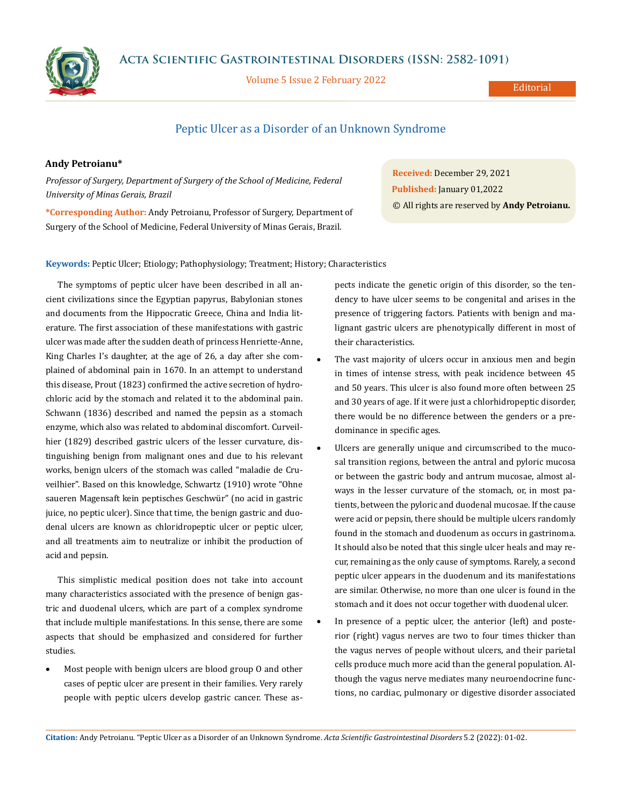**Acta Scientific Gastrointestinal Disorders (ISSN: 2582-1091)**



Volume 5 Issue 2 February 2022

Editorial

## Peptic Ulcer as a Disorder of an Unknown Syndrome

## **Andy Petroianu\***

*Professor of Surgery, Department of Surgery of the School of Medicine, Federal University of Minas Gerais, Brazil*

**\*Corresponding Author:** Andy Petroianu, Professor of Surgery, Department of Surgery of the School of Medicine, Federal University of Minas Gerais, Brazil.

**Received:** December 29, 2021 **Published:** January 01,2022 © All rights are reserved by **Andy Petroianu.**

**Keywords:** Peptic Ulcer; Etiology; Pathophysiology; Treatment; History; Characteristics

The symptoms of peptic ulcer have been described in all ancient civilizations since the Egyptian papyrus, Babylonian stones and documents from the Hippocratic Greece, China and India literature. The first association of these manifestations with gastric ulcer was made after the sudden death of princess Henriette-Anne, King Charles I's daughter, at the age of 26, a day after she complained of abdominal pain in 1670. In an attempt to understand this disease, Prout (1823) confirmed the active secretion of hydrochloric acid by the stomach and related it to the abdominal pain. Schwann (1836) described and named the pepsin as a stomach enzyme, which also was related to abdominal discomfort. Curveilhier (1829) described gastric ulcers of the lesser curvature, distinguishing benign from malignant ones and due to his relevant works, benign ulcers of the stomach was called "maladie de Cruveilhier". Based on this knowledge, Schwartz (1910) wrote "Ohne saueren Magensaft kein peptisches Geschwür" (no acid in gastric juice, no peptic ulcer). Since that time, the benign gastric and duodenal ulcers are known as chloridropeptic ulcer or peptic ulcer, and all treatments aim to neutralize or inhibit the production of acid and pepsin.

This simplistic medical position does not take into account many characteristics associated with the presence of benign gastric and duodenal ulcers, which are part of a complex syndrome that include multiple manifestations. In this sense, there are some aspects that should be emphasized and considered for further studies.

Most people with benign ulcers are blood group O and other cases of peptic ulcer are present in their families. Very rarely people with peptic ulcers develop gastric cancer. These as-

pects indicate the genetic origin of this disorder, so the tendency to have ulcer seems to be congenital and arises in the presence of triggering factors. Patients with benign and malignant gastric ulcers are phenotypically different in most of their characteristics.

- The vast majority of ulcers occur in anxious men and begin in times of intense stress, with peak incidence between 45 and 50 years. This ulcer is also found more often between 25 and 30 years of age. If it were just a chlorhidropeptic disorder, there would be no difference between the genders or a predominance in specific ages.
- Ulcers are generally unique and circumscribed to the mucosal transition regions, between the antral and pyloric mucosa or between the gastric body and antrum mucosae, almost always in the lesser curvature of the stomach, or, in most patients, between the pyloric and duodenal mucosae. If the cause were acid or pepsin, there should be multiple ulcers randomly found in the stomach and duodenum as occurs in gastrinoma. It should also be noted that this single ulcer heals and may recur, remaining as the only cause of symptoms. Rarely, a second peptic ulcer appears in the duodenum and its manifestations are similar. Otherwise, no more than one ulcer is found in the stomach and it does not occur together with duodenal ulcer.
- In presence of a peptic ulcer, the anterior (left) and posterior (right) vagus nerves are two to four times thicker than the vagus nerves of people without ulcers, and their parietal cells produce much more acid than the general population. Although the vagus nerve mediates many neuroendocrine functions, no cardiac, pulmonary or digestive disorder associated